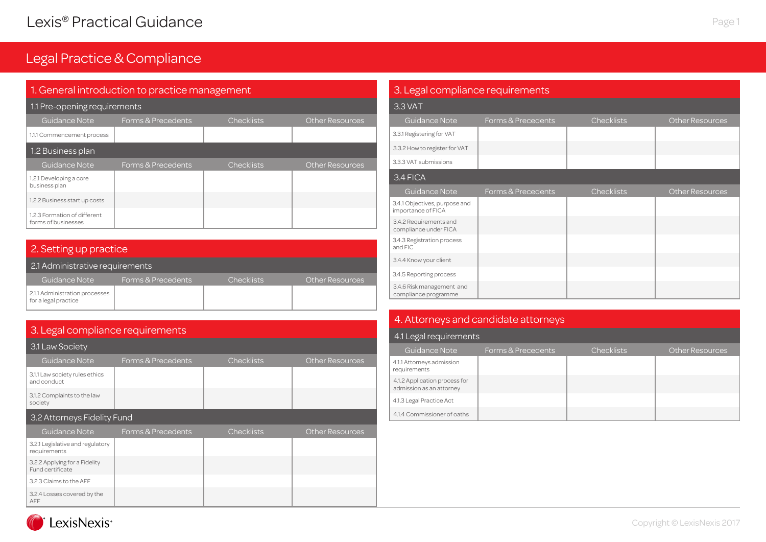| 1. General introduction to practice management      |                    |                   |                        |  |
|-----------------------------------------------------|--------------------|-------------------|------------------------|--|
| 1.1 Pre-opening requirements                        |                    |                   |                        |  |
| Guidance Note                                       | Forms & Precedents | <b>Checklists</b> | <b>Other Resources</b> |  |
| 1.1.1 Commencement process                          |                    |                   |                        |  |
| 1.2 Business plan                                   |                    |                   |                        |  |
| Guidance Note                                       | Forms & Precedents | <b>Checklists</b> | <b>Other Resources</b> |  |
| 1.2.1 Developing a core<br>business plan            |                    |                   |                        |  |
| 1.2.2 Business start up costs                       |                    |                   |                        |  |
| 1.2.3 Formation of different<br>forms of businesses |                    |                   |                        |  |

| 2. Setting up practice                                 |                    |                   |                        |  |  |
|--------------------------------------------------------|--------------------|-------------------|------------------------|--|--|
| 2.1 Administrative requirements                        |                    |                   |                        |  |  |
| Guidance Note                                          | Forms & Precedents | <b>Checklists</b> | <b>Other Resources</b> |  |  |
| 2.1.1 Administration processes<br>for a legal practice |                    |                   |                        |  |  |

## 3. Legal compliance requirements

| 3.1 Law Society                                   |                    |                   |                        |  |  |
|---------------------------------------------------|--------------------|-------------------|------------------------|--|--|
| <b>Guidance Note</b>                              | Forms & Precedents | <b>Checklists</b> | <b>Other Resources</b> |  |  |
| 3.1.1 Law society rules ethics<br>and conduct     |                    |                   |                        |  |  |
| 3.1.2 Complaints to the law<br>society            |                    |                   |                        |  |  |
| 3.2 Attorneys Fidelity Fund                       |                    |                   |                        |  |  |
|                                                   |                    |                   |                        |  |  |
| Guidance Note                                     | Forms & Precedents | <b>Checklists</b> | <b>Other Resources</b> |  |  |
| 3.2.1 Legislative and regulatory<br>requirements  |                    |                   |                        |  |  |
| 3.2.2 Applying for a Fidelity<br>Fund certificate |                    |                   |                        |  |  |
| 3.2.3 Claims to the AFF                           |                    |                   |                        |  |  |

| 3. Legal compliance requirements                    |                    |                   |                        |  |
|-----------------------------------------------------|--------------------|-------------------|------------------------|--|
| 3.3 VAT                                             |                    |                   |                        |  |
| <b>Guidance Note</b>                                | Forms & Precedents | <b>Checklists</b> | <b>Other Resources</b> |  |
| 3.3.1 Registering for VAT                           |                    |                   |                        |  |
| 3.3.2 How to register for VAT                       |                    |                   |                        |  |
| 3.3.3 VAT submissions                               |                    |                   |                        |  |
| 3.4 FICA                                            |                    |                   |                        |  |
| <b>Guidance Note</b>                                | Forms & Precedents | <b>Checklists</b> | <b>Other Resources</b> |  |
| 3.4.1 Objectives, purpose and<br>importance of FICA |                    |                   |                        |  |
| 3.4.2 Requirements and<br>compliance under FICA     |                    |                   |                        |  |
| 3.4.3 Registration process<br>and FIC               |                    |                   |                        |  |
| 3.4.4 Know your client                              |                    |                   |                        |  |
| 3.4.5 Reporting process                             |                    |                   |                        |  |
| 3.4.6 Risk management and<br>compliance programme   |                    |                   |                        |  |

## 4. Attorneys and candidate attorneys

| 4.1 Legal requirements                                    |                    |                   |                        |  |  |
|-----------------------------------------------------------|--------------------|-------------------|------------------------|--|--|
| Guidance Note                                             | Forms & Precedents | <b>Checklists</b> | <b>Other Resources</b> |  |  |
| 4.1.1 Attorneys admission<br>requirements                 |                    |                   |                        |  |  |
| 4.1.2 Application process for<br>admission as an attorney |                    |                   |                        |  |  |
| 4.1.3 Legal Practice Act                                  |                    |                   |                        |  |  |
| 4.1.4 Commissioner of oaths                               |                    |                   |                        |  |  |

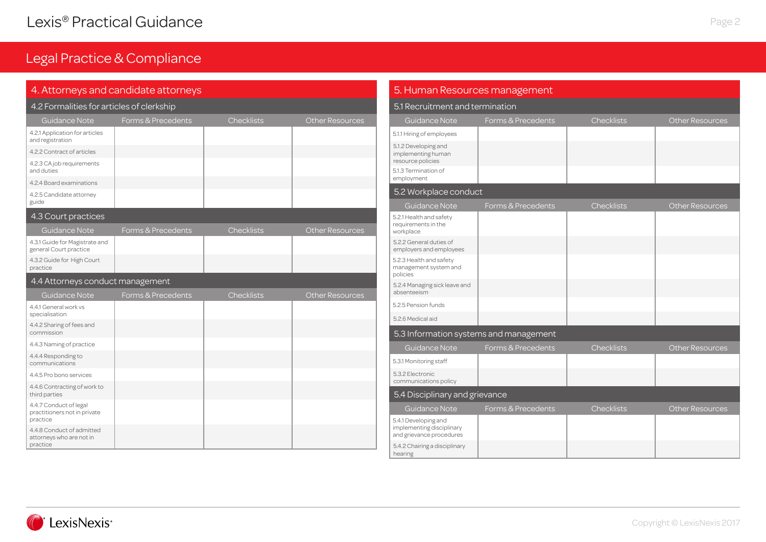|                                                          | 4. Attorneys and candidate attorneys |                   |                        | 5. Human Resources management<br>5.1 Recruitment and termination |                                        |                   |                        |
|----------------------------------------------------------|--------------------------------------|-------------------|------------------------|------------------------------------------------------------------|----------------------------------------|-------------------|------------------------|
| 4.2 Formalities for articles of clerkship                |                                      |                   |                        |                                                                  |                                        |                   |                        |
| Guidance Note                                            | Forms & Precedents                   | <b>Checklists</b> | <b>Other Resources</b> | Guidance Note                                                    | Forms & Precedents                     | <b>Checklists</b> | <b>Other Resources</b> |
| 4.2.1 Application for articles<br>and registration       |                                      |                   |                        | 5.1.1 Hiring of employees                                        |                                        |                   |                        |
| 4.2.2 Contract of articles                               |                                      |                   |                        | 5.1.2 Developing and<br>implementing human                       |                                        |                   |                        |
| 4.2.3 CA job requirements<br>and duties                  |                                      |                   |                        | resource policies<br>5.1.3 Termination of                        |                                        |                   |                        |
| 4.2.4 Board examinations                                 |                                      |                   |                        | employment                                                       |                                        |                   |                        |
| 4.2.5 Candidate attorney                                 |                                      |                   |                        | 5.2 Workplace conduct                                            |                                        |                   |                        |
| guide                                                    |                                      |                   |                        | Guidance Note                                                    | Forms & Precedents                     | <b>Checklists</b> | Other Resources        |
| 4.3 Court practices                                      |                                      |                   |                        | 5.2.1 Health and safety<br>requirements in the                   |                                        |                   |                        |
| Guidance Note                                            | Forms & Precedents                   | <b>Checklists</b> | <b>Other Resources</b> | workplace                                                        |                                        |                   |                        |
| 4.3.1 Guide for Magistrate and<br>general Court practice |                                      |                   |                        | 5.2.2 General duties of<br>employers and employees               |                                        |                   |                        |
| 4.3.2 Guide for High Court<br>practice                   |                                      |                   |                        | 5.2.3 Health and safety<br>management system and<br>policies     |                                        |                   |                        |
| 4.4 Attorneys conduct management                         |                                      |                   |                        | 5.2.4 Managing sick leave and                                    |                                        |                   |                        |
| Guidance Note                                            | Forms & Precedents                   | <b>Checklists</b> | <b>Other Resources</b> | absenteeism                                                      |                                        |                   |                        |
| 4.4.1 General work vs                                    |                                      |                   |                        | 5.2.5 Pension funds                                              |                                        |                   |                        |
| specialisation<br>4.4.2 Sharing of fees and              |                                      |                   |                        | 5.2.6 Medical aid                                                |                                        |                   |                        |
| commission                                               |                                      |                   |                        |                                                                  | 5.3 Information systems and management |                   |                        |
| 4.4.3 Naming of practice                                 |                                      |                   |                        | <b>Guidance Note</b>                                             | Forms & Precedents                     | <b>Checklists</b> | <b>Other Resources</b> |
| 4.4.4 Responding to<br>communications                    |                                      |                   |                        | 5.3.1 Monitoring staff                                           |                                        |                   |                        |
| 4.4.5 Pro bono services                                  |                                      |                   |                        | 5.3.2 Electronic<br>communications policy                        |                                        |                   |                        |
| 4.4.6 Contracting of work to<br>third parties            |                                      |                   |                        | 5.4 Disciplinary and grievance                                   |                                        |                   |                        |
| 4.4.7 Conduct of legal<br>practitioners not in private   |                                      |                   |                        | <b>Guidance Note</b>                                             | Forms & Precedents                     | <b>Checklists</b> | <b>Other Resources</b> |
| practice                                                 |                                      |                   |                        | 5.4.1 Developing and                                             |                                        |                   |                        |
| 4.4.8 Conduct of admitted<br>attorneys who are not in    |                                      |                   |                        | implementing disciplinary<br>and grievance procedures            |                                        |                   |                        |
| practice                                                 |                                      |                   |                        | 5.4.2 Chairing a disciplinary<br>hearing                         |                                        |                   |                        |

# Page 2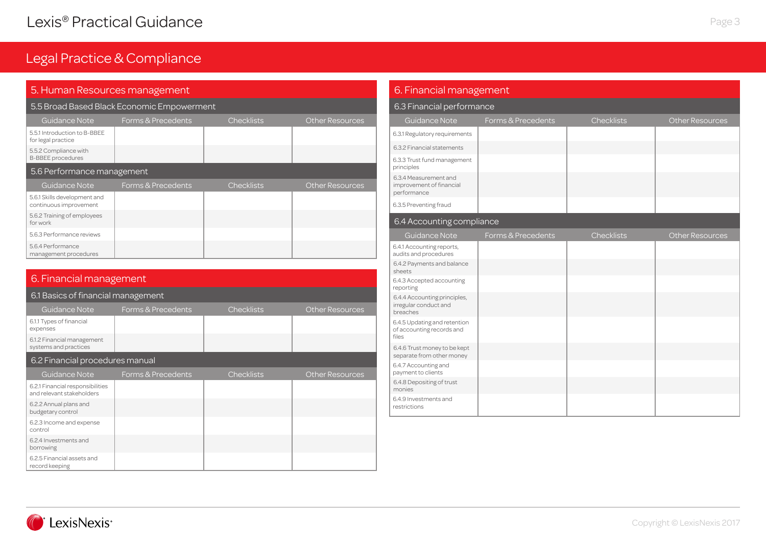#### 5. Human Resources management

#### 5.5 Broad Based Black Economic Empowerment

| Guidance Note                                          | Forms & Precedents | <b>Checklists</b> | <b>Other Resources</b> |
|--------------------------------------------------------|--------------------|-------------------|------------------------|
| 5.5.1 Introduction to B-BBEE<br>for legal practice     |                    |                   |                        |
| 5.5.2 Compliance with<br><b>B-BBEE</b> procedures      |                    |                   |                        |
| 5.6 Performance management                             |                    |                   |                        |
| Guidance Note                                          | Forms & Precedents | <b>Checklists</b> | <b>Other Resources</b> |
| 5.6.1 Skills development and<br>continuous improvement |                    |                   |                        |
| 5.6.2 Training of employees<br>for work                |                    |                   |                        |
| 5.6.3 Performance reviews                              |                    |                   |                        |
| 5.6.4 Performance<br>management procedures             |                    |                   |                        |

#### 6.2.5 Financial assets and 6.2.3 Income and expense control 6.2.4 Investments and borrowing 6.2.1 Financial responsibilities and relevant stakeholders 6.2.2 Annual plans and budgetary control 6.1.1 Types of financial expenses Guidance Note Forms & Precedents Checklists Cher Resources 6. Financial management 6.1.2 Financial management systems and practices 6.1 Basics of financial management Guidance Note Forms & Precedents Checklists Cher Resources 6.2 Financial procedures manual

### 6. Financial management

#### 6.3 Financial performance

| <b>Guidance Note</b>                                               | Forms & Precedents | <b>Checklists</b> | <b>Other Resources</b> |
|--------------------------------------------------------------------|--------------------|-------------------|------------------------|
| 6.3.1 Regulatory requirements                                      |                    |                   |                        |
| 6.3.2 Financial statements                                         |                    |                   |                        |
| 6.3.3 Trust fund management<br>principles                          |                    |                   |                        |
| 6.3.4 Measurement and<br>improvement of financial<br>performance   |                    |                   |                        |
| 6.3.5 Preventing fraud                                             |                    |                   |                        |
| 6.4 Accounting compliance                                          |                    |                   |                        |
| <b>Guidance Note</b>                                               | Forms & Precedents | <b>Checklists</b> | <b>Other Resources</b> |
| 6.4.1 Accounting reports,<br>audits and procedures                 |                    |                   |                        |
| 6.4.2 Payments and balance<br>sheets                               |                    |                   |                        |
| 6.4.3 Accepted accounting<br>reporting                             |                    |                   |                        |
| 6.4.4 Accounting principles,<br>irregular conduct and<br>breaches  |                    |                   |                        |
| 6.4.5 Updating and retention<br>of accounting records and<br>files |                    |                   |                        |
| 6.4.6 Trust money to be kept<br>separate from other money          |                    |                   |                        |
| 6.4.7 Accounting and<br>payment to clients                         |                    |                   |                        |
| 6.4.8 Depositing of trust<br>monies                                |                    |                   |                        |
| 6.4.9 Investments and<br>restrictions                              |                    |                   |                        |



record keeping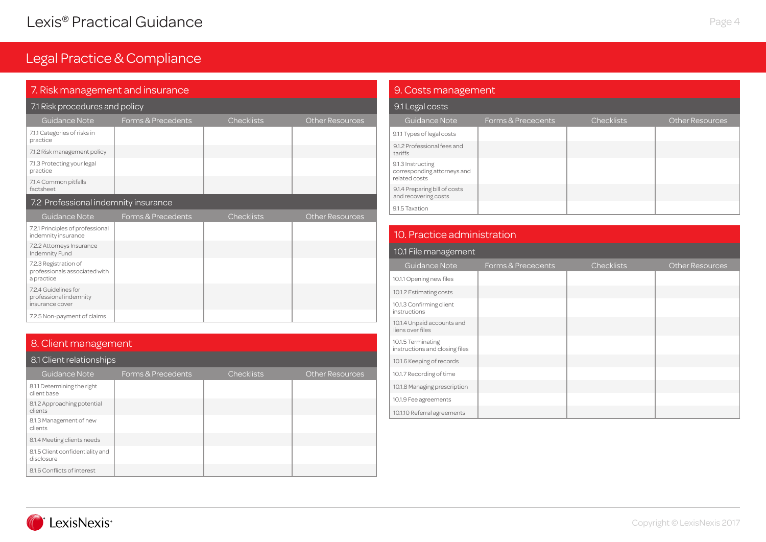### 7. Risk management and insurance

| 7.1 Risk procedures and policy                                       |                    |                   |                        |  |
|----------------------------------------------------------------------|--------------------|-------------------|------------------------|--|
| Guidance Note                                                        | Forms & Precedents | <b>Checklists</b> | <b>Other Resources</b> |  |
| 7.1.1 Categories of risks in<br>practice                             |                    |                   |                        |  |
| 7.1.2 Risk management policy                                         |                    |                   |                        |  |
| 7.1.3 Protecting your legal<br>practice                              |                    |                   |                        |  |
| 7.1.4 Common pitfalls<br>factsheet                                   |                    |                   |                        |  |
| 7.2 Professional indemnity insurance                                 |                    |                   |                        |  |
| Guidance Note                                                        | Forms & Precedents | <b>Checklists</b> | <b>Other Resources</b> |  |
| 7.2.1 Principles of professional<br>indemnity insurance              |                    |                   |                        |  |
| 7.2.2 Attorneys Insurance<br>Indemnity Fund                          |                    |                   |                        |  |
| 7.2.3 Registration of<br>professionals associated with<br>a practice |                    |                   |                        |  |
| 7.2.4 Guidelines for<br>professional indemnity<br>insurance cover    |                    |                   |                        |  |
| 7.2.5 Non-payment of claims                                          |                    |                   |                        |  |

### 8. Client management

| 8.1 Client relationships                       |                    |                   |                        |  |  |
|------------------------------------------------|--------------------|-------------------|------------------------|--|--|
| Guidance Note                                  | Forms & Precedents | <b>Checklists</b> | <b>Other Resources</b> |  |  |
| 8.1.1 Determining the right<br>client base     |                    |                   |                        |  |  |
| 8.1.2 Approaching potential<br>clients         |                    |                   |                        |  |  |
| 8.1.3 Management of new<br>clients             |                    |                   |                        |  |  |
| 8.1.4 Meeting clients needs                    |                    |                   |                        |  |  |
| 8.1.5 Client confidentiality and<br>disclosure |                    |                   |                        |  |  |
| 8.1.6 Conflicts of interest                    |                    |                   |                        |  |  |

### 9. Costs management

| 9.1 Legal costs |  |
|-----------------|--|
|-----------------|--|

| Guidance Note                                                     | Forms & Precedents | <b>Checklists</b> | <b>Other Resources</b> |
|-------------------------------------------------------------------|--------------------|-------------------|------------------------|
| 9.1.1 Types of legal costs                                        |                    |                   |                        |
| 9.1.2 Professional fees and<br>tariffs                            |                    |                   |                        |
| 9.1.3 Instructing<br>corresponding attorneys and<br>related costs |                    |                   |                        |
| 9.1.4 Preparing bill of costs<br>and recovering costs             |                    |                   |                        |
| 9.1.5 Taxation                                                    |                    |                   |                        |

### 10. Practice administration

| 10.1 File management                                 |                    |                   |                        |  |  |
|------------------------------------------------------|--------------------|-------------------|------------------------|--|--|
| Guidance Note                                        | Forms & Precedents | <b>Checklists</b> | <b>Other Resources</b> |  |  |
| 10.1.1 Opening new files                             |                    |                   |                        |  |  |
| 10.1.2 Estimating costs                              |                    |                   |                        |  |  |
| 10.1.3 Confirming client<br>instructions             |                    |                   |                        |  |  |
| 10.1.4 Unpaid accounts and<br>liens over files       |                    |                   |                        |  |  |
| 10.1.5 Terminating<br>instructions and closing files |                    |                   |                        |  |  |
| 10.1.6 Keeping of records                            |                    |                   |                        |  |  |
| 10.1.7 Recording of time                             |                    |                   |                        |  |  |
| 10.1.8 Managing prescription                         |                    |                   |                        |  |  |
| 10.1.9 Fee agreements                                |                    |                   |                        |  |  |
| 10.1.10 Referral agreements                          |                    |                   |                        |  |  |